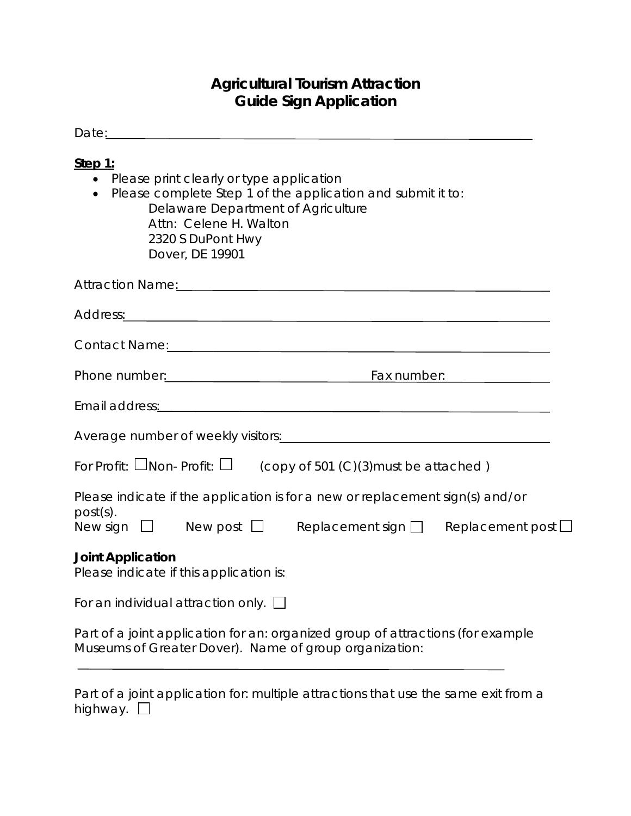## **Agricultural Tourism Attraction Guide Sign Application**

| Step 1:<br>• Please print clearly or type application<br>Please complete Step 1 of the application and submit it to:<br>$\bullet$<br>Delaware Department of Agriculture<br>Attn: Celene H. Walton<br>2320 S DuPont Hwy<br>Dover, DE 19901 |
|-------------------------------------------------------------------------------------------------------------------------------------------------------------------------------------------------------------------------------------------|
| Attraction Name: Manual Attraction Name: Manual Attraction Name: Manual Attraction Name: Manual Attraction Nam                                                                                                                            |
|                                                                                                                                                                                                                                           |
| Contact Name: 2008 Contact Name: 2008 Contact Name: 2008 Contact Name: 2008 Contact Name: 2008 Contact Name: 2008 Contact Name: 2008 Contact Name: 2008 Contact Name: 2008 Contact Name: 2008 Contact Name: 2008 Contact Name:            |
| Phone number: <u>contract and the set of the set of the set of the set of the set of the set of the set of the set of the set of the set of the set of the set of the set of the set of the set of the set of the set of the set</u>      |
| Email address: contract and address and a series of the series of the series of the series of the series of the series of the series of the series of the series of the series of the series of the series of the series of th            |
|                                                                                                                                                                                                                                           |
| For Profit: $\square$ Non- Profit: $\square$ (copy of 501 (C)(3) must be attached)                                                                                                                                                        |
| Please indicate if the application is for a new or replacement sign(s) and/or<br>$post(s)$ .<br>New sign $\Box$ New post $\Box$ Replacement sign $\Box$ Replacement post $\Box$                                                           |
| <b>Joint Application</b><br>Please indicate if this application is:                                                                                                                                                                       |
| For an individual attraction only. $\square$                                                                                                                                                                                              |
| Part of a joint application for an: organized group of attractions (for example<br>Museums of Greater Dover). Name of group organization:                                                                                                 |
| Part of a joint application for: multiple attractions that use the same exit from a<br>highway. [                                                                                                                                         |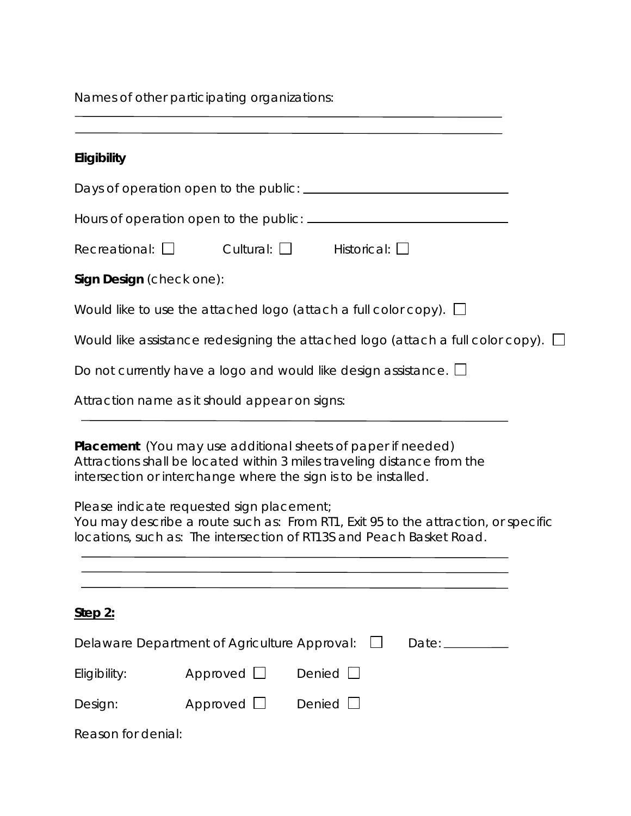Names of other participating organizations:

| Eligibility              |                                               |                                                                                                                                                                                                                                                                                                                                                                                |
|--------------------------|-----------------------------------------------|--------------------------------------------------------------------------------------------------------------------------------------------------------------------------------------------------------------------------------------------------------------------------------------------------------------------------------------------------------------------------------|
|                          |                                               |                                                                                                                                                                                                                                                                                                                                                                                |
|                          |                                               |                                                                                                                                                                                                                                                                                                                                                                                |
| Recreational: $\Box$     |                                               | Cultural: $\Box$ Historical: $\Box$                                                                                                                                                                                                                                                                                                                                            |
| Sign Design (check one): |                                               |                                                                                                                                                                                                                                                                                                                                                                                |
|                          |                                               | Would like to use the attached logo (attach a full color copy). $\Box$                                                                                                                                                                                                                                                                                                         |
|                          |                                               | Would like assistance redesigning the attached logo (attach a full color copy). $\Box$                                                                                                                                                                                                                                                                                         |
|                          |                                               | Do not currently have a logo and would like design assistance. $\Box$                                                                                                                                                                                                                                                                                                          |
|                          | Attraction name as it should appear on signs: |                                                                                                                                                                                                                                                                                                                                                                                |
|                          | Please indicate requested sign placement;     | <b>Placement</b> (You may use additional sheets of paper if needed)<br>Attractions shall be located within 3 miles traveling distance from the<br>intersection or interchange where the sign is to be installed.<br>You may describe a route such as: From RT1, Exit 95 to the attraction, or specific<br>locations, such as: The intersection of RT13S and Peach Basket Road. |
| Step 2:                  |                                               |                                                                                                                                                                                                                                                                                                                                                                                |
|                          | Delaware Department of Agriculture Approval:  |                                                                                                                                                                                                                                                                                                                                                                                |
| Eligibility:             | Approved $\Box$                               | Denied                                                                                                                                                                                                                                                                                                                                                                         |
| Design:                  | Approved $\Box$                               | Denied $\Box$                                                                                                                                                                                                                                                                                                                                                                  |
| Reason for denial:       |                                               |                                                                                                                                                                                                                                                                                                                                                                                |

<u> 1980 - Johann Barbara, martxa amerikan per</u>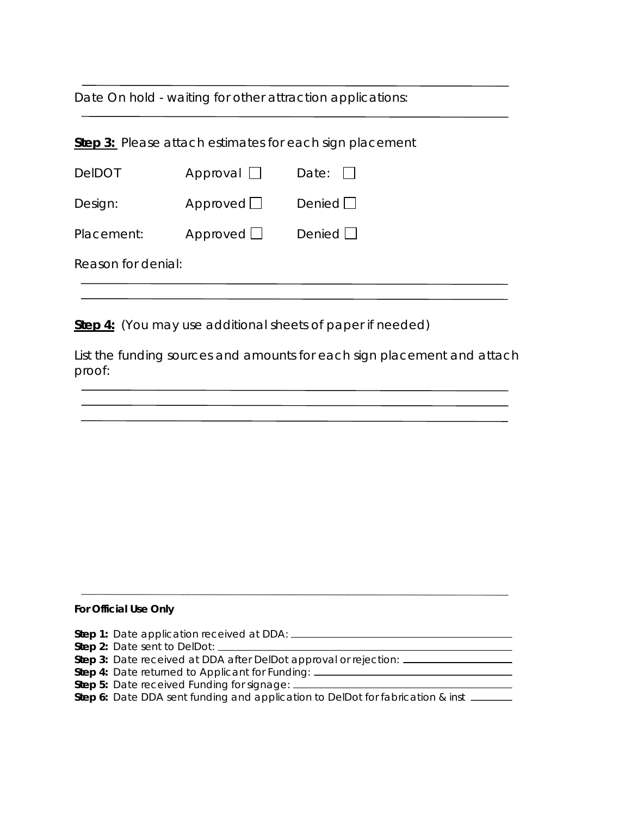Date On hold - waiting for other attraction applications:

| <b>Step 3:</b> Please attach estimates for each sign placement |                 |               |  |  |
|----------------------------------------------------------------|-----------------|---------------|--|--|
| <b>DeIDOT</b>                                                  | Approval $\Box$ | Date: $  $    |  |  |
| Design:                                                        | Approved $\Box$ | Denied $\Box$ |  |  |
| Placement:                                                     | Approved $\Box$ | Denied $\Box$ |  |  |
| Reason for denial:                                             |                 |               |  |  |
|                                                                |                 |               |  |  |

**Step 4:** (You may use additional sheets of paper if needed)

List the funding sources and amounts for each sign placement and attach proof:

#### **For Official Use Only**

- **Step 1:** Date application received at DDA:
- **Step 2:** Date sent to DelDot:
- **Step 3:** Date received at DDA after DelDot approval or rejection:
- **Step 4:** Date returned to Applicant for Funding:
- **Step 5:** Date received Funding for signage:
- **Step 6:** Date DDA sent funding and application to DelDot for fabrication & inst \_\_\_\_\_\_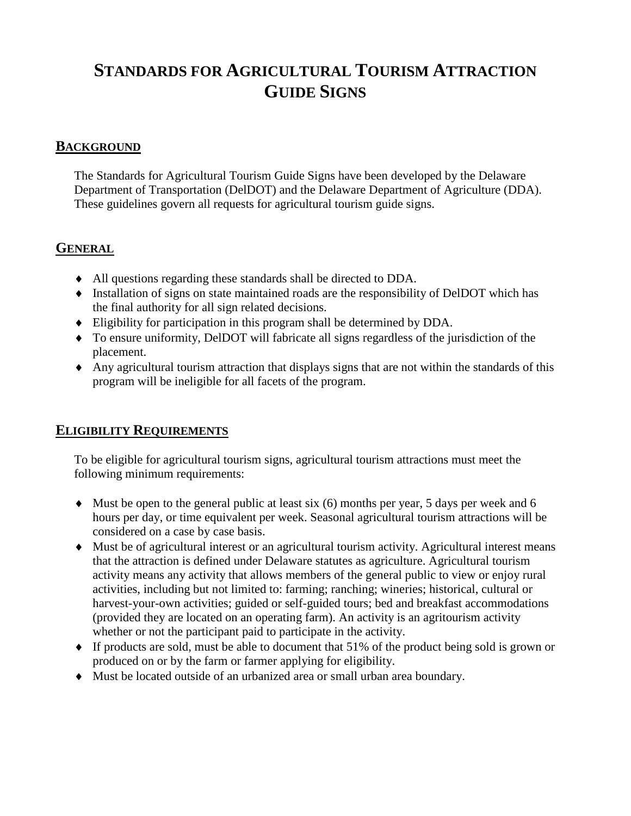# **STANDARDS FOR AGRICULTURAL TOURISM ATTRACTION GUIDE SIGNS**

#### **BACKGROUND**

The Standards for Agricultural Tourism Guide Signs have been developed by the Delaware Department of Transportation (DelDOT) and the Delaware Department of Agriculture (DDA). These guidelines govern all requests for agricultural tourism guide signs.

#### **GENERAL**

- ♦ All questions regarding these standards shall be directed to DDA.
- ♦ Installation of signs on state maintained roads are the responsibility of DelDOT which has the final authority for all sign related decisions.
- ♦ Eligibility for participation in this program shall be determined by DDA.
- ♦ To ensure uniformity, DelDOT will fabricate all signs regardless of the jurisdiction of the placement.
- ♦ Any agricultural tourism attraction that displays signs that are not within the standards of this program will be ineligible for all facets of the program.

#### **ELIGIBILITY REQUIREMENTS**

To be eligible for agricultural tourism signs, agricultural tourism attractions must meet the following minimum requirements:

- $\blacklozenge$  Must be open to the general public at least six (6) months per year, 5 days per week and 6 hours per day, or time equivalent per week. Seasonal agricultural tourism attractions will be considered on a case by case basis.
- ♦ Must be of agricultural interest or an agricultural tourism activity. Agricultural interest means that the attraction is defined under Delaware statutes as agriculture. Agricultural tourism activity means any activity that allows members of the general public to view or enjoy rural activities, including but not limited to: farming; ranching; wineries; historical, cultural or harvest-your-own activities; guided or self-guided tours; bed and breakfast accommodations (provided they are located on an operating farm). An activity is an agritourism activity whether or not the participant paid to participate in the activity.
- ♦ If products are sold, must be able to document that 51% of the product being sold is grown or produced on or by the farm or farmer applying for eligibility.
- ♦ Must be located outside of an urbanized area or small urban area boundary.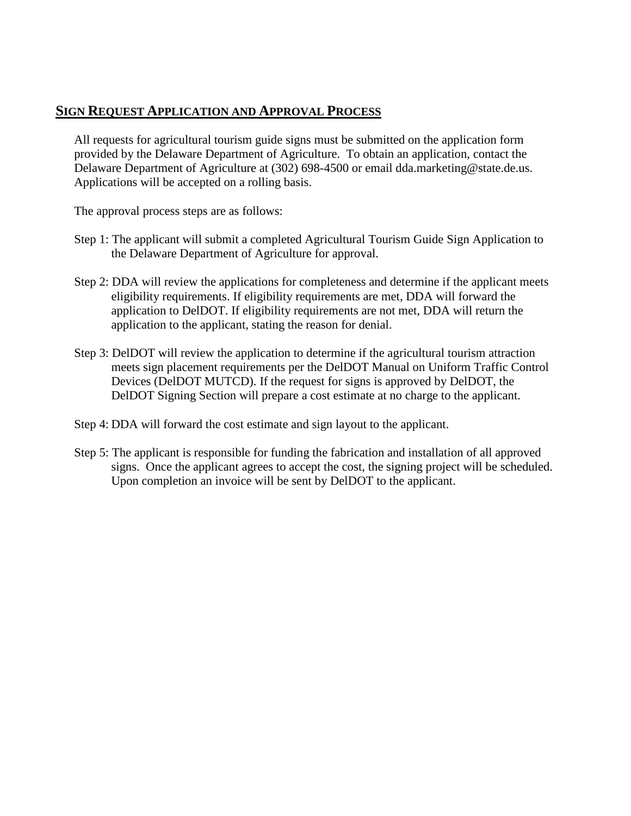#### **SIGN REQUEST APPLICATION AND APPROVAL PROCESS**

All requests for agricultural tourism guide signs must be submitted on the application form provided by the Delaware Department of Agriculture. To obtain an application, contact the Delaware Department of Agriculture at (302) 698-4500 or email dda.marketing@state.de.us. Applications will be accepted on a rolling basis.

The approval process steps are as follows:

- Step 1: The applicant will submit a completed Agricultural Tourism Guide Sign Application to the Delaware Department of Agriculture for approval.
- Step 2: DDA will review the applications for completeness and determine if the applicant meets eligibility requirements. If eligibility requirements are met, DDA will forward the application to DelDOT. If eligibility requirements are not met, DDA will return the application to the applicant, stating the reason for denial.
- Step 3: DelDOT will review the application to determine if the agricultural tourism attraction meets sign placement requirements per the DelDOT Manual on Uniform Traffic Control Devices (DelDOT MUTCD). If the request for signs is approved by DelDOT, the DelDOT Signing Section will prepare a cost estimate at no charge to the applicant.
- Step 4: DDA will forward the cost estimate and sign layout to the applicant.
- Step 5: The applicant is responsible for funding the fabrication and installation of all approved signs. Once the applicant agrees to accept the cost, the signing project will be scheduled. Upon completion an invoice will be sent by DelDOT to the applicant.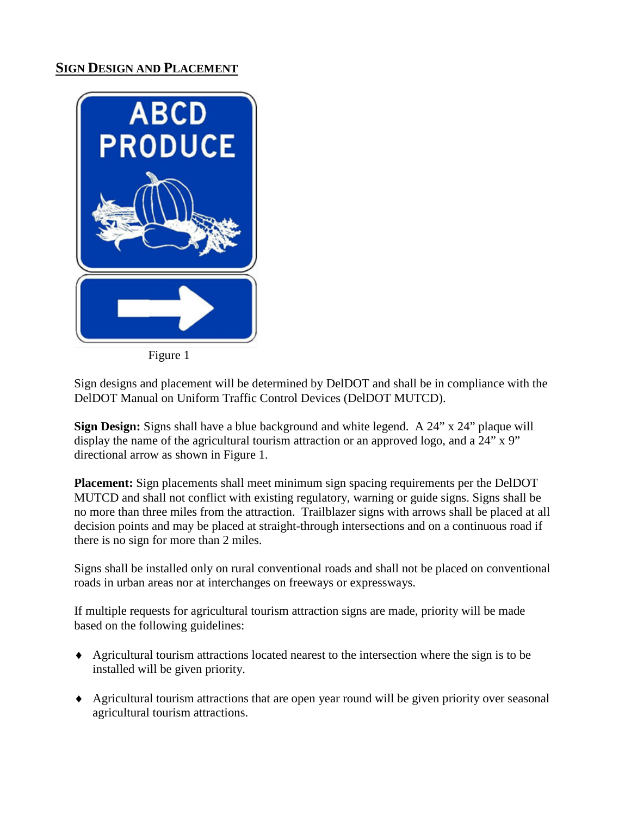### **SIGN DESIGN AND PLACEMENT**



Figure 1

Sign designs and placement will be determined by DelDOT and shall be in compliance with the DelDOT Manual on Uniform Traffic Control Devices (DelDOT MUTCD).

**Sign Design:** Signs shall have a blue background and white legend. A 24" x 24" plaque will display the name of the agricultural tourism attraction or an approved logo, and a 24" x 9" directional arrow as shown in Figure 1.

**Placement:** Sign placements shall meet minimum sign spacing requirements per the DelDOT MUTCD and shall not conflict with existing regulatory, warning or guide signs. Signs shall be no more than three miles from the attraction. Trailblazer signs with arrows shall be placed at all decision points and may be placed at straight-through intersections and on a continuous road if there is no sign for more than 2 miles.

Signs shall be installed only on rural conventional roads and shall not be placed on conventional roads in urban areas nor at interchanges on freeways or expressways.

If multiple requests for agricultural tourism attraction signs are made, priority will be made based on the following guidelines:

- ♦ Agricultural tourism attractions located nearest to the intersection where the sign is to be installed will be given priority.
- ♦ Agricultural tourism attractions that are open year round will be given priority over seasonal agricultural tourism attractions.